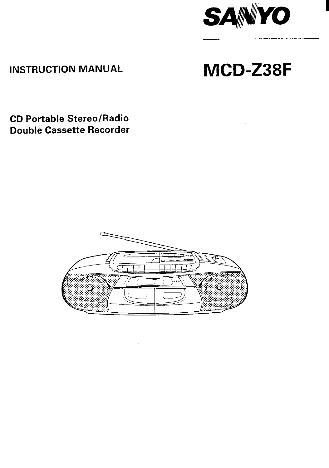

# INSTRUCTION MANUAL **MCD-Z38F**

CD Portable Stereo/Radio Double Cassette Recorder

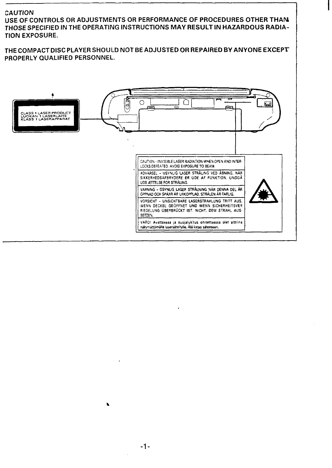### CAUTION

USE OF CONTROLS OR ADJUSTMENTS OR PERFORMANCE OF PROCEDURES OTHER THAN THOSE SPECIFIED IN THE OPERATING INSTRUCTIONS MAY RESULT IN HAZARDOUS RADIA-TION EXPOSURE.

THE COMPACT DISC PLAYER SHOULD NOT BE ADJUSTED OR REPAIRED BY ANYONE EXCEPT PROPERLY OUALIFIED PERSONNEL.

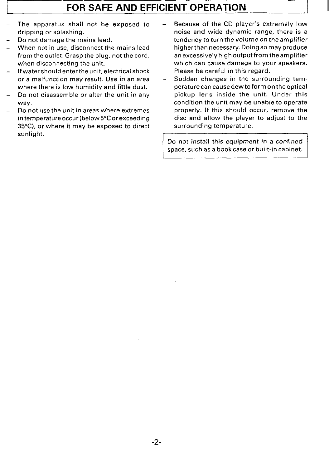# **FOR SAFE AND EFFICIENT OPERATION**

- **The apparatus shall not be exposed to dripping or splashing.**
- **Do not damage the mains lead.**
- **When not in use, disconnect the mains lead from the outlet. Grasp the plug, notthe cord, when disconnecting the unit.**
- **If water should enter the unit, electrical shock or a malfunction may result. Use in an area where there is low humidity and little dust.**
- **Do not disassemble or alter the unit in any way.**
- . **Do not use the unit in areas where extremes intemperature occur (below 5"Corexceeding 35"C), or where it may be exposed to direct sunlight.**
- **Because of the CD player's extremely low noise and wide dynamic range, there is a tendency to turn the volume on the amplifier higherthan necessary. Doing so may produce an excessively high output from the amplifier which can cause damage to your speakers. Please be careful in this regard.**
- **- Sudden changes in the surrounding temperaturecan cause dewtoform ontheoptical pickup lens inside the unit. Under this condition the unit may be unable to operate properly. If this should occur, remove the disc and allow the player to adjust to the surrounding temperature.**

**Do not install this equipment in a confined space, such as a book case or built-in cabinet.**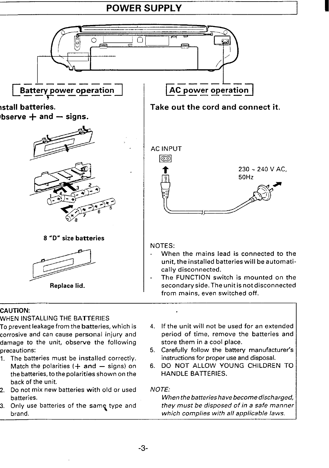

### **CAUTION:**

### **WHEN INSTALLING THE BAITERIES**

**damage to the unit, observe the following store them in a cool place.**

- **1. The batteries must be installed correctly. instructions for proper use and disposal. the batteries, to the polarities shown on the HANDLE BATTERIES. back of the unit.**
- **2. Do not mix new batteries with old or used NOTE:**
- **3. Only use batteries of the samg type and they must be disposed of fn a safe manner brand. brand.** *<b>n* **i** *which complies with all applicable laws.*
- To prevent leakage from the batteries, which is 4. If the unit will not be used for an extended **corrosive and can cause personal injury and period of time, remove the batteries and**
- **precautions: 5. Carefully follow the battety manufacturer's**
	- **Match the polarities (+ and — signs) on 6. DO NOT ALLOW YOUNG CHILDREN TO**

**batteries. When the batteries have become discharged,**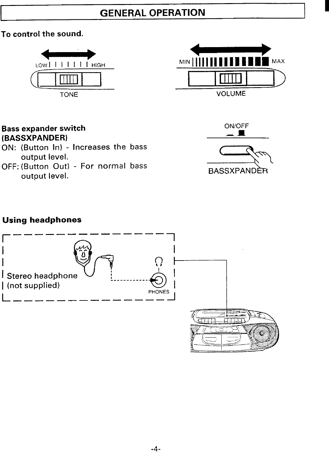### **GENERAL OPERATION**

### To control the sound.





### Bass expander switch (BASSXPANDER)

- ON: **(Button In) - Increases the bass output level.**
- **OFF: (Button Out) - For normal bass output level.**



### Using headphones

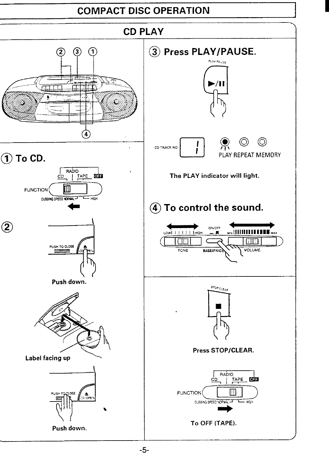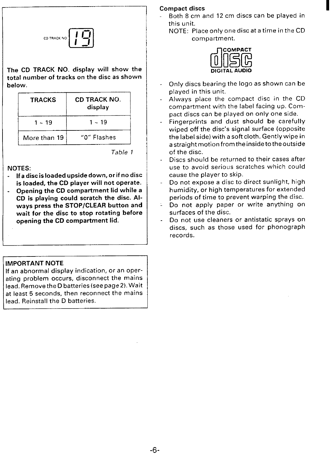

**total number of tracks on the disc as shown below.**

| <b>TRACKS</b> | CD TRACK NO.<br>display |
|---------------|-------------------------|
| $1 - 19$      | $1 - 19$                |
| More than 19  | "0" Flashes             |

**Tab/e 7**

### **NOTES:**

- **If a disc is loaded upside down, or if no disc is loaded, the CD player will not operate.**
- **Opening the CD compartment lid while a CD is playing could scratch the disc. Always press the STOP/CLEAR button and wait for the disc to stop rotating before opening the CD compartment lid.**

### **IMPORTANT NOTE**

**If an abnormal display indication, or an operating problem occurs, disconnect the mains lead. Remove the Dbatteries (see page 2). Wait at least 5 seconds, then reconnect the mains lead. Reinstall the D batteries.**

### **Compact discs**

- **Both 8 cm and 12 cm discs can be played in this unit.**
	- **NOTE: Place only one disc at a time in the CD compartment.**



- **Only discs bearing the logo as shown can be played in this unit.**
- **Always place the compact disc in the CD compartment with the label facing up. Compact discs can be played on only one side.**
- **Fingerprints and dust should be carefully**  $\mathbf{r}$ **wiped off the disc's signal surface (opposite the label side) with a soft cloth. Gently wipe in a straight motion from the inside tothe outside of the disc.**
- **Discs should be returned to their cases after use to avoid serious scratches which could cause the player to skip.**
- **Do not expose a disc to direct sunlight, high humidity, or high temperatures for extended periods of time to prevent warping the disc.**
- **Do not apply paper or write anything on surfaces of the disc.**
- **Do not use cleaners or antistatic sprays on discs, such as those used for phonograph records.**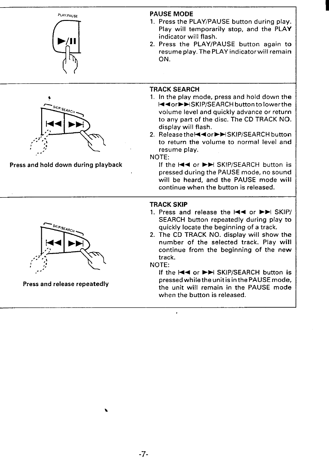





- **1. Press the PLAY/PAUSE button during play. Play will temporarily stop, and the PLAY indicator will flash.**
- **2. Press the PLAY/PAUSE button again to resume play. The PLAY indicator will remain ON.**

### **TRACK SEARCH**

- **1. In the play mode, press and hold down the**  $H \triangleleft$  or  $H \triangleleft$  **MSKIP/SEARCH** button to lower the **volume level and quickly advance or return to any part of the disc. The CD TRACK NO. display will flash.**
- 2. Release thel<**EXAMPIONER FINDITY** Release the Herton **to return the volume to normal level and resume play.**

**NOTE:**

**If the 14< or** ➤**FI SKIP/SEARCH button is pressed during the PAUSE mode, no sound will be heard, and the PAUSE mode will continue when the button is released.**

### **TRACK SKIP**

- 1.**Press and release the ~< or** ➤**<sup>N</sup> SKIP/ SEARCH button repeatedly during play to quickly locate the beginning of a track.**
- **2. The CD TRACK NO. display will show the number of the selected track. Play will continue from the beginning of the new track.**

**NOTE:**

**If the K+ or** ➤**M SKIP/SEARCH button is pressed while the unit isinthe PAUSE mode, the unit will remain in the PAUSE mode when the button is released.**



l++ **FM ,"~ . / .' ,.. ? ,** ;,4 .-,

 $\ddot{}$ 

b  $\frac{N}{P}$  SEA



**Press and release repeatedly**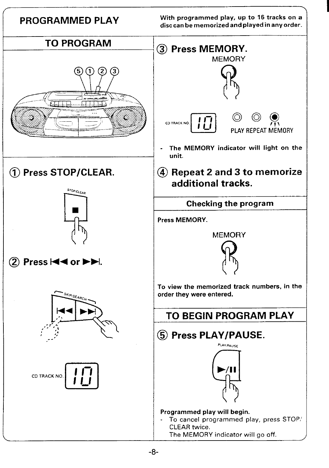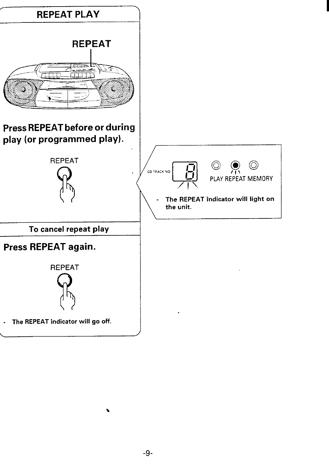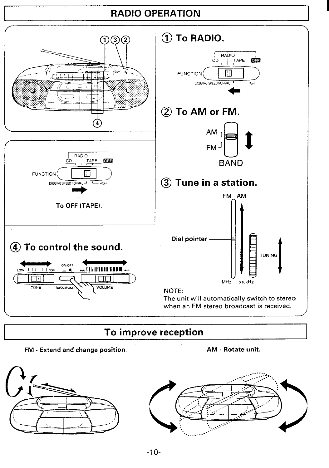### **RADIO OPERATION**



## To improve reception

FM - Extend and change position.

AM - Rotate unit.



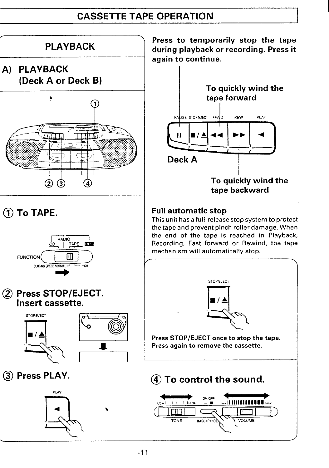## **CASSETTE TAPE OPERATION**

PLAY

/



.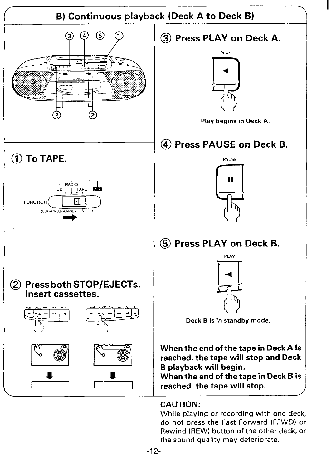

### CAUTION:

**While playing or recording with one deck, do not press the Fast Forward (FFWD) or Rewind (REW) button of the other deck, or the sound quality may deteriorate.**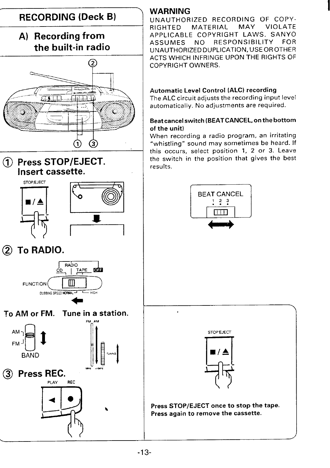# RECORDING (Deck B)

A) Recording from the built-in radio



# 1 Press STOP/EJECT.



@ To RADIO.



**TO AM or FM. Tune** in a station.



### WARNING

**UNAUTHORIZED RECORDING OF COPY-RIGHTED MATERIAL MAY VIOLATE APPLICABLE COPYRIGHT LAWS. SANYO ASSUMES NO RESPONSIBILITY FOR UNAUTHORIZED DUPLICATION, USE OR OTHER ACTS WHICH INFRINGE UPON THE RIGHTS OF COPYRIGHT OWNERS.**

I

### **Automatic Level Control (ALC) recording**

**The ALC circuit adjusts the recording input level automatically. No adjustments are required.**

### **Beat cancel switch (BEAT CANCEL, on the bottom of the unit)**

**When recording a radio program, an irritating "whistling" sound may sometimes be heard. If this occurs, select position 1, 2 or 3. Leave the switch in the position that gives the best results.**



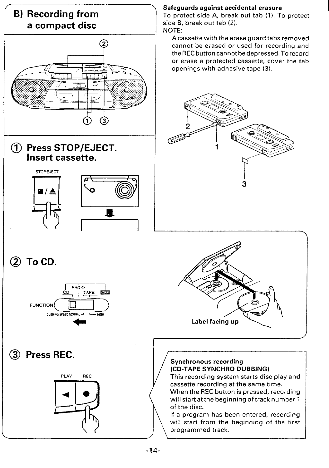

### **Safeguards against accidental erasure**

**To protect side A, break out tab (1). To protect side B, break out tab (2). NOTE:**

**1**

**A cassette with the erase guard tabs removed cannot be erased or used for recording and the REC button cannot bedepressed. To record or erase a Drotected cassette, cover the tab openings with adhesive tape (3).**





### **Synchronous recording (CD-TAPE SVNCHRO DUBBING)**

PLAY REC **This recording system starts disc play and cassette recording at the same time. When the REC button is pressed, recording will start atthebegin ningoftrack number 1 of the disc.**

**If a program has been entered, recording will start from the beginning of the first programmed track.**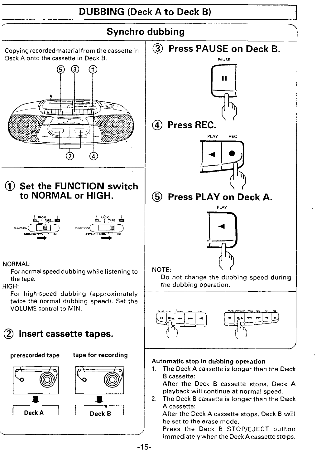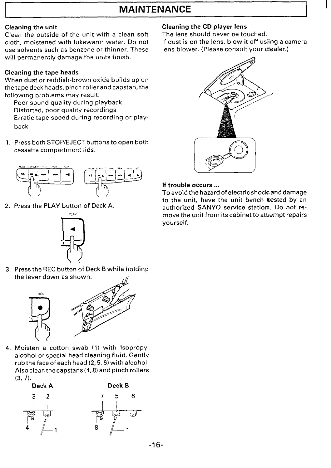### **MAINTENANCE** I<sub>nduction and the second construction and the second construction and the second construction and the second construction of  $\mathcal{A}$ </sub>

**Cleaning the unit Cleaning the CD player lens Clean the outside of the unit with a clean soft The lens should never be touched.** cloth, moistened with lukewarm water. Do not lf dust is on the lens, blow it off using a can use solvents such as benzene or thinner. These lens blower. (Please consult your diealer.) **use solvents such as benzene or thinner. These lens blower. (Please consult your diealer.) will permanently damage the units finish.**

### **Cleaning the tape heads**

**When dust or reddish-brown oxide builds up on thetapedeck heads, pinch roller andcapstan, the following problems may result: /**

**Poor sound quality during playback Distorted, poor quality recordings Erratic tape speed during recording or playback**

**1. Press both STOP/EJECT buttons to open both cassette compartment lids.**



**2. Press the PLAY button of Deck A.**



**3. Press the REC button of Deck B while holding the lever down as**



**4. Moisten a cotton swab (1) with Lsopropyl alcohol or special head cleaning fluid. Gently rubthefaceofeach head (2,5, 6)with alcohol. Alsoclean thecapstans (4,8) andpinch rollers (3, 7).**





### If trouble occurs ...

**F F Toavoidthehazard 'ftrOubieOccurs- of electric shoclc.and damage to the unit, have the unit bench tested by in authorized SANYO service statiorn. Do not remove the unit from its cabinet to att&mpt repairs yourself.**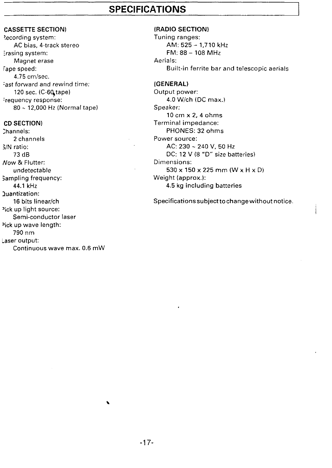### **SPECIFICATIONS**

### **CASSETTE SECTION)**

**?ecording system: AC bias, 4-track stereo :rasing system: Magnet erase rape speed: 4.75 cmlsec. 'ast forward and rewind time: 120 sec. (C-6~tape) 'requency response: 80-12,000 Hz (Normal tape)**

#### **CD SECTION)**

**;hannels: 2 channels YN ratio: 73 dB Now & Flutter: undetectable Sampling frequency: 44.1 kHz Iuantization: 16 bits linear/ch 'ick up light source: Semi-conductor laser 'ick up wave length: 790 nm Laser output: Continuous wave max. 0.6 mW**

### (RADIO SECTION)

**Tuning ranges: AM: 525– 1,710 kHz FM: 88– 108 MHz Aerials: Built-in ferrite bar and telescopic aerials**

#### [GENERAL)

**Output power: 4.0 W/ch (DC max. ) Speaker: 10cmx2,40hms Terminal impedance: PHONES: 32 ohms Power source: AC: 230--240 V, 50 HZ DC: 12 V (8 "D" size batteries) Dimensions: 530x 150x 225mm(Wx HxD) Weight (approx. ): 4.5 kg including batteries**

**Specifications subject tochangewithout notice.**

I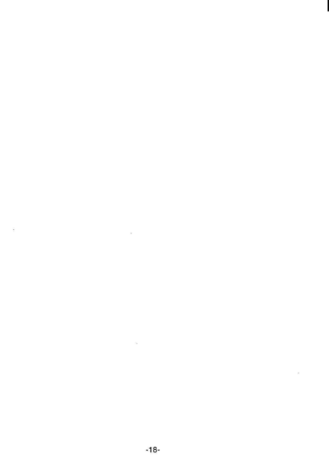$-18-$ 

 $\mathcal{L}^{\text{max}}_{\text{max}}$  and  $\mathcal{L}^{\text{max}}_{\text{max}}$ 

 $\sim$